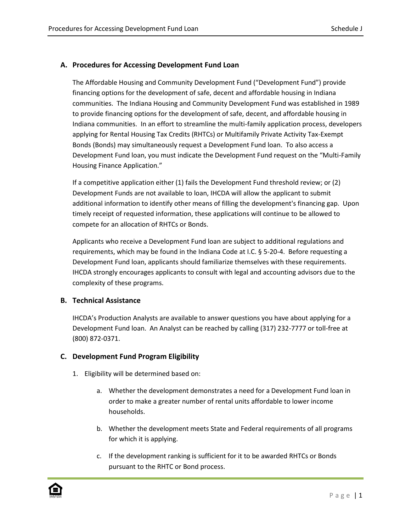#### **A. Procedures for Accessing Development Fund Loan**

The Affordable Housing and Community Development Fund ("Development Fund") provide financing options for the development of safe, decent and affordable housing in Indiana communities. The Indiana Housing and Community Development Fund was established in 1989 to provide financing options for the development of safe, decent, and affordable housing in Indiana communities. In an effort to streamline the multi-family application process, developers applying for Rental Housing Tax Credits (RHTCs) or Multifamily Private Activity Tax-Exempt Bonds (Bonds) may simultaneously request a Development Fund loan. To also access a Development Fund loan, you must indicate the Development Fund request on the "Multi-Family Housing Finance Application."

If a competitive application either (1) fails the Development Fund threshold review; or (2) Development Funds are not available to loan, IHCDA will allow the applicant to submit additional information to identify other means of filling the development's financing gap. Upon timely receipt of requested information, these applications will continue to be allowed to compete for an allocation of RHTCs or Bonds.

Applicants who receive a Development Fund loan are subject to additional regulations and requirements, which may be found in the Indiana Code at I.C. § 5-20-4. Before requesting a Development Fund loan, applicants should familiarize themselves with these requirements. IHCDA strongly encourages applicants to consult with legal and accounting advisors due to the complexity of these programs.

#### **B. Technical Assistance**

IHCDA's Production Analysts are available to answer questions you have about applying for a Development Fund loan. An Analyst can be reached by calling (317) 232-7777 or toll-free at (800) 872-0371.

#### **C. Development Fund Program Eligibility**

- 1. Eligibility will be determined based on:
	- a. Whether the development demonstrates a need for a Development Fund loan in order to make a greater number of rental units affordable to lower income households.
	- b. Whether the development meets State and Federal requirements of all programs for which it is applying.
	- c. If the development ranking is sufficient for it to be awarded RHTCs or Bonds pursuant to the RHTC or Bond process.

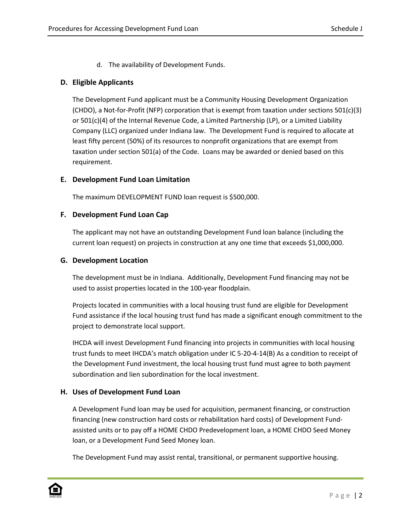d. The availability of Development Funds.

## **D. Eligible Applicants**

The Development Fund applicant must be a Community Housing Development Organization (CHDO), a Not-for-Profit (NFP) corporation that is exempt from taxation under sections 501(c)(3) or 501(c)(4) of the Internal Revenue Code, a Limited Partnership (LP), or a Limited Liability Company (LLC) organized under Indiana law. The Development Fund is required to allocate at least fifty percent (50%) of its resources to nonprofit organizations that are exempt from taxation under section 501(a) of the Code. Loans may be awarded or denied based on this requirement.

## **E. Development Fund Loan Limitation**

The maximum DEVELOPMENT FUND loan request is \$500,000.

## **F. Development Fund Loan Cap**

The applicant may not have an outstanding Development Fund loan balance (including the current loan request) on projects in construction at any one time that exceeds \$1,000,000.

#### **G. Development Location**

The development must be in Indiana. Additionally, Development Fund financing may not be used to assist properties located in the 100-year floodplain.

Projects located in communities with a local housing trust fund are eligible for Development Fund assistance if the local housing trust fund has made a significant enough commitment to the project to demonstrate local support.

IHCDA will invest Development Fund financing into projects in communities with local housing trust funds to meet IHCDA's match obligation under IC 5-20-4-14(B) As a condition to receipt of the Development Fund investment, the local housing trust fund must agree to both payment subordination and lien subordination for the local investment.

## **H. Uses of Development Fund Loan**

A Development Fund loan may be used for acquisition, permanent financing, or construction financing (new construction hard costs or rehabilitation hard costs) of Development Fundassisted units or to pay off a HOME CHDO Predevelopment loan, a HOME CHDO Seed Money loan, or a Development Fund Seed Money loan.

The Development Fund may assist rental, transitional, or permanent supportive housing.

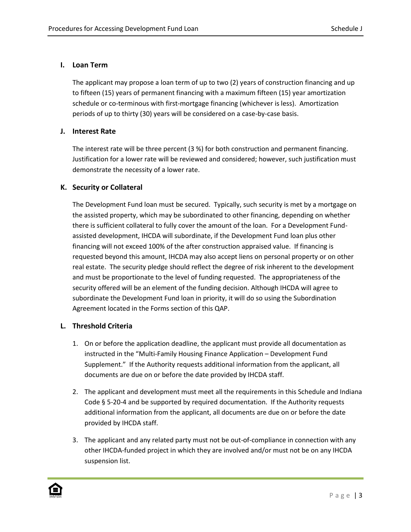# **I. Loan Term**

The applicant may propose a loan term of up to two (2) years of construction financing and up to fifteen (15) years of permanent financing with a maximum fifteen (15) year amortization schedule or co-terminous with first-mortgage financing (whichever is less). Amortization periods of up to thirty (30) years will be considered on a case-by-case basis.

## **J. Interest Rate**

The interest rate will be three percent (3 %) for both construction and permanent financing. Justification for a lower rate will be reviewed and considered; however, such justification must demonstrate the necessity of a lower rate.

# **K. Security or Collateral**

The Development Fund loan must be secured. Typically, such security is met by a mortgage on the assisted property, which may be subordinated to other financing, depending on whether there is sufficient collateral to fully cover the amount of the loan. For a Development Fundassisted development, IHCDA will subordinate, if the Development Fund loan plus other financing will not exceed 100% of the after construction appraised value. If financing is requested beyond this amount, IHCDA may also accept liens on personal property or on other real estate. The security pledge should reflect the degree of risk inherent to the development and must be proportionate to the level of funding requested. The appropriateness of the security offered will be an element of the funding decision. Although IHCDA will agree to subordinate the Development Fund loan in priority, it will do so using the Subordination Agreement located in the Forms section of this QAP.

## **L. Threshold Criteria**

- 1. On or before the application deadline, the applicant must provide all documentation as instructed in the "Multi-Family Housing Finance Application – Development Fund Supplement." If the Authority requests additional information from the applicant, all documents are due on or before the date provided by IHCDA staff.
- 2. The applicant and development must meet all the requirements in this Schedule and Indiana Code § 5-20-4 and be supported by required documentation. If the Authority requests additional information from the applicant, all documents are due on or before the date provided by IHCDA staff.
- 3. The applicant and any related party must not be out-of-compliance in connection with any other IHCDA-funded project in which they are involved and/or must not be on any IHCDA suspension list.

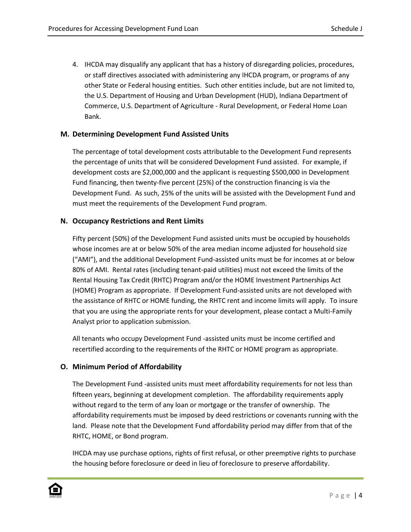4. IHCDA may disqualify any applicant that has a history of disregarding policies, procedures, or staff directives associated with administering any IHCDA program, or programs of any other State or Federal housing entities. Such other entities include, but are not limited to, the U.S. Department of Housing and Urban Development (HUD), Indiana Department of Commerce, U.S. Department of Agriculture - Rural Development, or Federal Home Loan Bank.

#### **M. Determining Development Fund Assisted Units**

The percentage of total development costs attributable to the Development Fund represents the percentage of units that will be considered Development Fund assisted. For example, if development costs are \$2,000,000 and the applicant is requesting \$500,000 in Development Fund financing, then twenty-five percent (25%) of the construction financing is via the Development Fund. As such, 25% of the units will be assisted with the Development Fund and must meet the requirements of the Development Fund program.

#### **N. Occupancy Restrictions and Rent Limits**

Fifty percent (50%) of the Development Fund assisted units must be occupied by households whose incomes are at or below 50% of the area median income adjusted for household size ("AMI"), and the additional Development Fund-assisted units must be for incomes at or below 80% of AMI. Rental rates (including tenant-paid utilities) must not exceed the limits of the Rental Housing Tax Credit (RHTC) Program and/or the HOME Investment Partnerships Act (HOME) Program as appropriate. If Development Fund-assisted units are not developed with the assistance of RHTC or HOME funding, the RHTC rent and income limits will apply. To insure that you are using the appropriate rents for your development, please contact a Multi-Family Analyst prior to application submission.

All tenants who occupy Development Fund -assisted units must be income certified and recertified according to the requirements of the RHTC or HOME program as appropriate.

## **O. Minimum Period of Affordability**

The Development Fund -assisted units must meet affordability requirements for not less than fifteen years, beginning at development completion. The affordability requirements apply without regard to the term of any loan or mortgage or the transfer of ownership. The affordability requirements must be imposed by deed restrictions or covenants running with the land. Please note that the Development Fund affordability period may differ from that of the RHTC, HOME, or Bond program.

IHCDA may use purchase options, rights of first refusal, or other preemptive rights to purchase the housing before foreclosure or deed in lieu of foreclosure to preserve affordability.